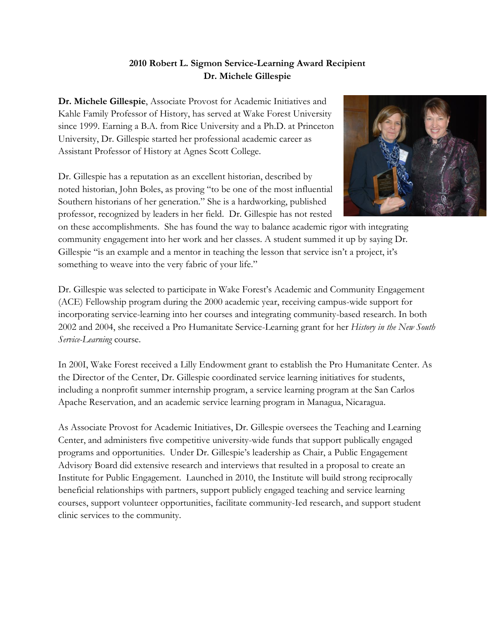## **2010 Robert L. Sigmon Service-Learning Award Recipient Dr. Michele Gillespie**

**Dr. Michele Gillespie**, Associate Provost for Academic Initiatives and Kahle Family Professor of History, has served at Wake Forest University since 1999. Earning a B.A. from Rice University and a Ph.D. at Princeton University, Dr. Gillespie started her professional academic career as Assistant Professor of History at Agnes Scott College.

Dr. Gillespie has a reputation as an excellent historian, described by noted historian, John Boles, as proving "to be one of the most influential Southern historians of her generation." She is a hardworking, published professor, recognized by leaders in her field. Dr. Gillespie has not rested



on these accomplishments. She has found the way to balance academic rigor with integrating community engagement into her work and her classes. A student summed it up by saying Dr. Gillespie "is an example and a mentor in teaching the lesson that service isn't a project, it's something to weave into the very fabric of your life."

Dr. Gillespie was selected to participate in Wake Forest's Academic and Community Engagement (ACE) Fellowship program during the 2000 academic year, receiving campus-wide support for incorporating service-learning into her courses and integrating community-based research. In both 2002 and 2004, she received a Pro Humanitate Service-Learning grant for her *History in the New South Service-Learning* course.

In 200I, Wake Forest received a Lilly Endowment grant to establish the Pro Humanitate Center. As the Director of the Center, Dr. Gillespie coordinated service learning initiatives for students, including a nonprofit summer internship program, a service learning program at the San Carlos Apache Reservation, and an academic service learning program in Managua, Nicaragua.

As Associate Provost for Academic Initiatives, Dr. Gillespie oversees the Teaching and Learning Center, and administers five competitive university-wide funds that support publically engaged programs and opportunities. Under Dr. Gillespie's leadership as Chair, a Public Engagement Advisory Board did extensive research and interviews that resulted in a proposal to create an Institute for Public Engagement. Launched in 2010, the Institute will build strong reciprocally beneficial relationships with partners, support publicly engaged teaching and service learning courses, support volunteer opportunities, facilitate community-Ied research, and support student clinic services to the community.